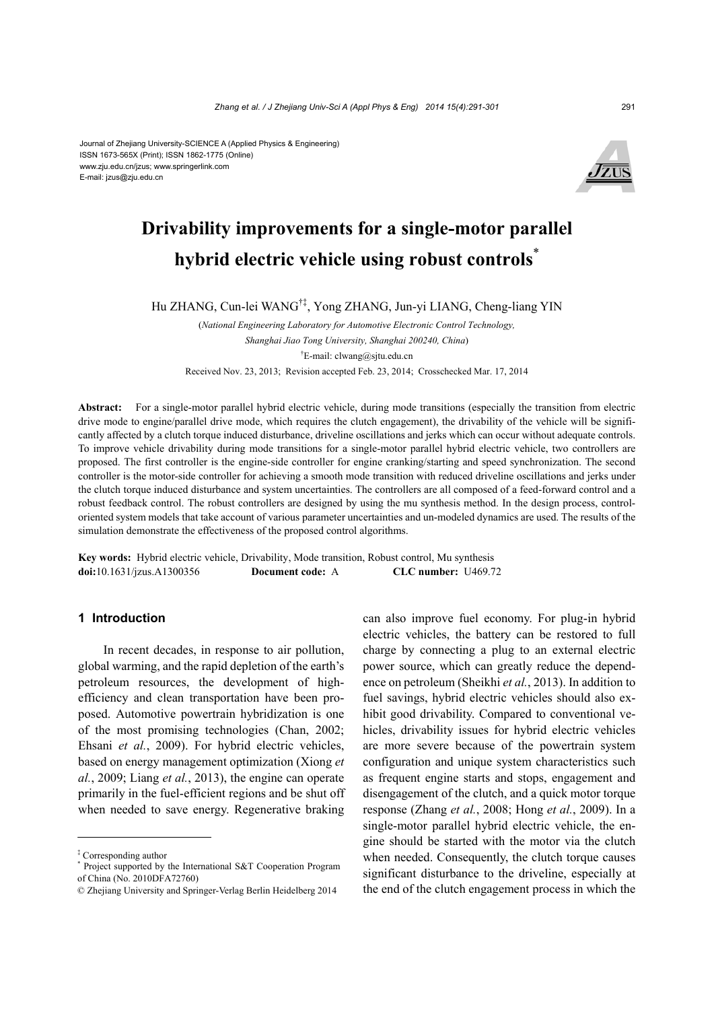#### Journal of Zhejiang University-SCIENCE A (Applied Physics & Engineering) ISSN 1673-565X (Print); ISSN 1862-1775 (Online) www.zju.edu.cn/jzus; www.springerlink.com E-mail: jzus@zju.edu.cn



# **Drivability improvements for a single-motor parallel hybrid electric vehicle using robust controls**\*

Hu ZHANG, Cun-lei WANG†‡, Yong ZHANG, Jun-yi LIANG, Cheng-liang YIN

(*National Engineering Laboratory for Automotive Electronic Control Technology, Shanghai Jiao Tong University, Shanghai 200240, China*) † E-mail: clwang@sjtu.edu.cn Received Nov. 23, 2013; Revision accepted Feb. 23, 2014; Crosschecked Mar. 17, 2014

**Abstract:** For a single-motor parallel hybrid electric vehicle, during mode transitions (especially the transition from electric drive mode to engine/parallel drive mode, which requires the clutch engagement), the drivability of the vehicle will be significantly affected by a clutch torque induced disturbance, driveline oscillations and jerks which can occur without adequate controls. To improve vehicle drivability during mode transitions for a single-motor parallel hybrid electric vehicle, two controllers are proposed. The first controller is the engine-side controller for engine cranking/starting and speed synchronization. The second controller is the motor-side controller for achieving a smooth mode transition with reduced driveline oscillations and jerks under the clutch torque induced disturbance and system uncertainties. The controllers are all composed of a feed-forward control and a robust feedback control. The robust controllers are designed by using the mu synthesis method. In the design process, controloriented system models that take account of various parameter uncertainties and un-modeled dynamics are used. The results of the simulation demonstrate the effectiveness of the proposed control algorithms.

**Key words:** Hybrid electric vehicle, Drivability, Mode transition, Robust control, Mu synthesis **doi:**10.1631/jzus.A1300356 **Document code:** A **CLC number:** U469.72

# **1 Introduction**

In recent decades, in response to air pollution, global warming, and the rapid depletion of the earth's petroleum resources, the development of highefficiency and clean transportation have been proposed. Automotive powertrain hybridization is one of the most promising technologies (Chan, 2002; Ehsani *et al.*, 2009). For hybrid electric vehicles, based on energy management optimization (Xiong *et al.*, 2009; Liang *et al.*, 2013), the engine can operate primarily in the fuel-efficient regions and be shut off when needed to save energy. Regenerative braking can also improve fuel economy. For plug-in hybrid electric vehicles, the battery can be restored to full charge by connecting a plug to an external electric power source, which can greatly reduce the dependence on petroleum (Sheikhi *et al.*, 2013). In addition to fuel savings, hybrid electric vehicles should also exhibit good drivability. Compared to conventional vehicles, drivability issues for hybrid electric vehicles are more severe because of the powertrain system configuration and unique system characteristics such as frequent engine starts and stops, engagement and disengagement of the clutch, and a quick motor torque response (Zhang *et al.*, 2008; Hong *et al.*, 2009). In a single-motor parallel hybrid electric vehicle, the engine should be started with the motor via the clutch when needed. Consequently, the clutch torque causes significant disturbance to the driveline, especially at the end of the clutch engagement process in which the

<sup>‡</sup> Corresponding author \*

Project supported by the International S&T Cooperation Program of China (No. 2010DFA72760)

<sup>©</sup> Zhejiang University and Springer-Verlag Berlin Heidelberg 2014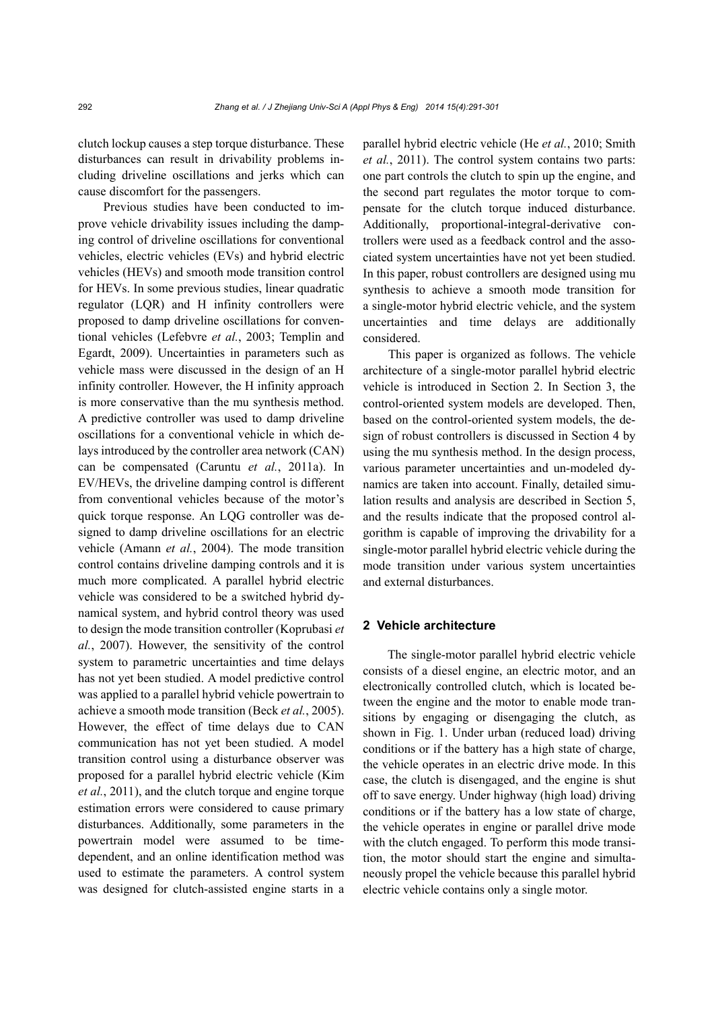clutch lockup causes a step torque disturbance. These disturbances can result in drivability problems including driveline oscillations and jerks which can cause discomfort for the passengers.

Previous studies have been conducted to improve vehicle drivability issues including the damping control of driveline oscillations for conventional vehicles, electric vehicles (EVs) and hybrid electric vehicles (HEVs) and smooth mode transition control for HEVs. In some previous studies, linear quadratic regulator (LQR) and H infinity controllers were proposed to damp driveline oscillations for conventional vehicles (Lefebvre *et al.*, 2003; Templin and Egardt, 2009). Uncertainties in parameters such as vehicle mass were discussed in the design of an H infinity controller. However, the H infinity approach is more conservative than the mu synthesis method. A predictive controller was used to damp driveline oscillations for a conventional vehicle in which delays introduced by the controller area network (CAN) can be compensated (Caruntu *et al.*, 2011a). In EV/HEVs, the driveline damping control is different from conventional vehicles because of the motor's quick torque response. An LQG controller was designed to damp driveline oscillations for an electric vehicle (Amann *et al.*, 2004). The mode transition control contains driveline damping controls and it is much more complicated. A parallel hybrid electric vehicle was considered to be a switched hybrid dynamical system, and hybrid control theory was used to design the mode transition controller (Koprubasi *et al.*, 2007). However, the sensitivity of the control system to parametric uncertainties and time delays has not yet been studied. A model predictive control was applied to a parallel hybrid vehicle powertrain to achieve a smooth mode transition (Beck *et al.*, 2005). However, the effect of time delays due to CAN communication has not yet been studied. A model transition control using a disturbance observer was proposed for a parallel hybrid electric vehicle (Kim *et al.*, 2011), and the clutch torque and engine torque estimation errors were considered to cause primary disturbances. Additionally, some parameters in the powertrain model were assumed to be timedependent, and an online identification method was used to estimate the parameters. A control system was designed for clutch-assisted engine starts in a parallel hybrid electric vehicle (He *et al.*, 2010; Smith *et al.*, 2011). The control system contains two parts: one part controls the clutch to spin up the engine, and the second part regulates the motor torque to compensate for the clutch torque induced disturbance. Additionally, proportional-integral-derivative controllers were used as a feedback control and the associated system uncertainties have not yet been studied. In this paper, robust controllers are designed using mu synthesis to achieve a smooth mode transition for a single-motor hybrid electric vehicle, and the system uncertainties and time delays are additionally considered.

This paper is organized as follows. The vehicle architecture of a single-motor parallel hybrid electric vehicle is introduced in Section 2. In Section 3, the control-oriented system models are developed. Then, based on the control-oriented system models, the design of robust controllers is discussed in Section 4 by using the mu synthesis method. In the design process, various parameter uncertainties and un-modeled dynamics are taken into account. Finally, detailed simulation results and analysis are described in Section 5, and the results indicate that the proposed control algorithm is capable of improving the drivability for a single-motor parallel hybrid electric vehicle during the mode transition under various system uncertainties and external disturbances.

# **2 Vehicle architecture**

The single-motor parallel hybrid electric vehicle consists of a diesel engine, an electric motor, and an electronically controlled clutch, which is located between the engine and the motor to enable mode transitions by engaging or disengaging the clutch, as shown in Fig. 1. Under urban (reduced load) driving conditions or if the battery has a high state of charge, the vehicle operates in an electric drive mode. In this case, the clutch is disengaged, and the engine is shut off to save energy. Under highway (high load) driving conditions or if the battery has a low state of charge, the vehicle operates in engine or parallel drive mode with the clutch engaged. To perform this mode transition, the motor should start the engine and simultaneously propel the vehicle because this parallel hybrid electric vehicle contains only a single motor.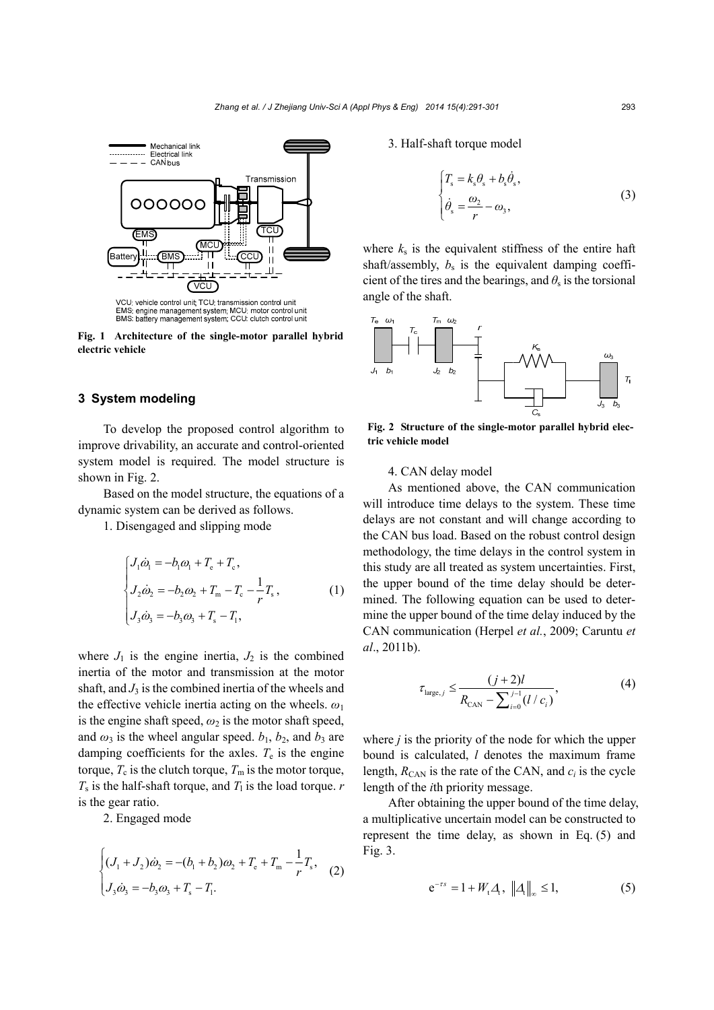

VCU: vehicle control unit; TCU: transmission control unit<br>EMS: engine management system; MCU: motor control unit<br>BMS: battery management system; CCU: clutch control unit

**Fig. 1 Architecture of the single-motor parallel hybrid electric vehicle** 

# **3****System modeling**

To develop the proposed control algorithm to improve drivability, an accurate and control-oriented system model is required. The model structure is shown in Fig. 2.

Based on the model structure, the equations of a dynamic system can be derived as follows.

1. Disengaged and slipping mode

$$
\begin{cases}\nJ_1 \dot{\omega}_1 = -b_1 \omega_1 + T_e + T_e, \\
J_2 \dot{\omega}_2 = -b_2 \omega_2 + T_m - T_e - \frac{1}{r} T_s, \\
J_3 \dot{\omega}_3 = -b_3 \omega_3 + T_s - T_l,\n\end{cases} (1)
$$

where  $J_1$  is the engine inertia,  $J_2$  is the combined inertia of the motor and transmission at the motor shaft, and  $J_3$  is the combined inertia of the wheels and the effective vehicle inertia acting on the wheels. *ω*<sup>1</sup> is the engine shaft speed,  $\omega_2$  is the motor shaft speed, and  $\omega_3$  is the wheel angular speed.  $b_1$ ,  $b_2$ , and  $b_3$  are damping coefficients for the axles.  $T_e$  is the engine torque,  $T_c$  is the clutch torque,  $T_m$  is the motor torque,  $T_s$  is the half-shaft torque, and  $T_1$  is the load torque. *r* is the gear ratio.

2. Engaged mode

$$
\begin{cases} (J_1 + J_2)\dot{\omega}_2 = -(b_1 + b_2)\omega_2 + T_e + T_m - \frac{1}{r}T_s, \\ J_3\dot{\omega}_3 = -b_3\omega_3 + T_s - T_1. \end{cases}
$$
 (2)

3. Half-shaft torque model

$$
\begin{cases}\nT_s = k_s \theta_s + b_s \dot{\theta}_s, \\
\dot{\theta}_s = \frac{\omega_2}{r} - \omega_3,\n\end{cases}
$$
\n(3)

where  $k<sub>s</sub>$  is the equivalent stiffness of the entire haft shaft/assembly,  $b_s$  is the equivalent damping coefficient of the tires and the bearings, and  $\theta_s$  is the torsional angle of the shaft.



**Fig. 2 Structure of the single-motor parallel hybrid electric vehicle model** 

4. CAN delay model

As mentioned above, the CAN communication will introduce time delays to the system. These time delays are not constant and will change according to the CAN bus load. Based on the robust control design methodology, the time delays in the control system in this study are all treated as system uncertainties. First, the upper bound of the time delay should be determined. The following equation can be used to determine the upper bound of the time delay induced by the CAN communication (Herpel *et al.*, 2009; Caruntu *et al*., 2011b).

$$
\tau_{\text{large},j} \le \frac{(j+2)l}{R_{\text{CAN}} - \sum_{i=0}^{j-1} (l/c_i)},\tag{4}
$$

where *j* is the priority of the node for which the upper bound is calculated, *l* denotes the maximum frame length,  $R_{\text{CAN}}$  is the rate of the CAN, and  $c_i$  is the cycle length of the *i*th priority message.

After obtaining the upper bound of the time delay, a multiplicative uncertain model can be constructed to represent the time delay, as shown in Eq. (5) and Fig. 3.

$$
e^{-rs} = 1 + W_t \Delta_t, \| \Delta_t \|_{\infty} \le 1,
$$
 (5)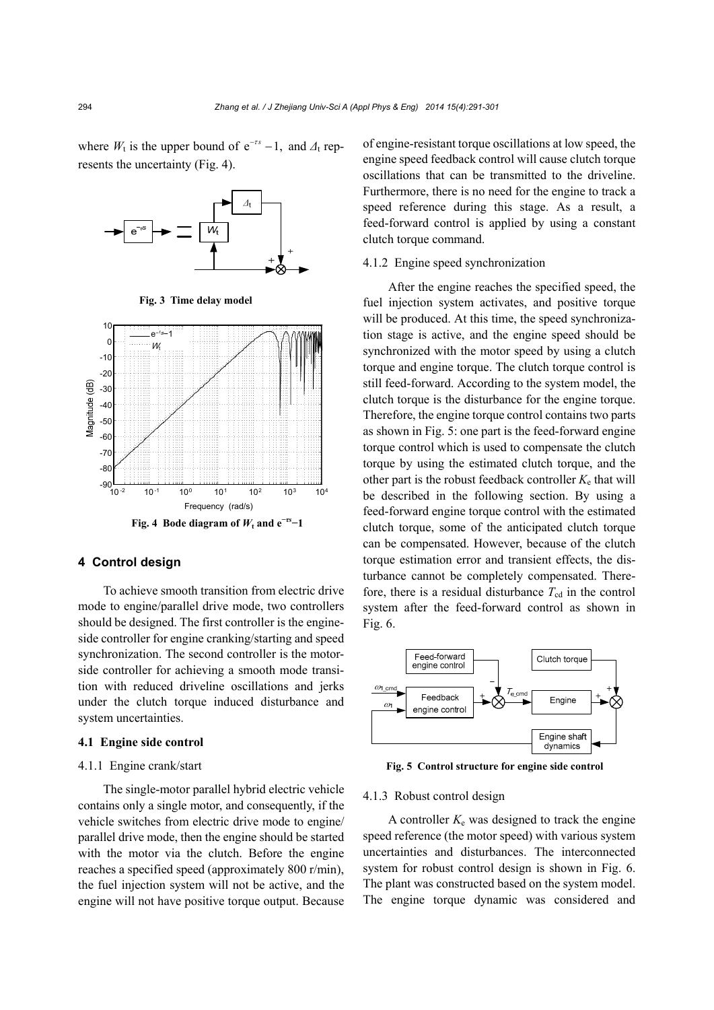where  $W_t$  is the upper bound of  $e^{-rs} - 1$ , and  $\Delta_t$  represents the uncertainty (Fig. 4).



**Fig. 3 Time delay model**



#### **4 Control design**

To achieve smooth transition from electric drive mode to engine/parallel drive mode, two controllers should be designed. The first controller is the engineside controller for engine cranking/starting and speed synchronization. The second controller is the motorside controller for achieving a smooth mode transition with reduced driveline oscillations and jerks under the clutch torque induced disturbance and system uncertainties.

# **4.1 Engine side control**

# 4.1.1 Engine crank/start

The single-motor parallel hybrid electric vehicle contains only a single motor, and consequently, if the vehicle switches from electric drive mode to engine/ parallel drive mode, then the engine should be started with the motor via the clutch. Before the engine reaches a specified speed (approximately 800 r/min), the fuel injection system will not be active, and the engine will not have positive torque output. Because of engine-resistant torque oscillations at low speed, the engine speed feedback control will cause clutch torque oscillations that can be transmitted to the driveline. Furthermore, there is no need for the engine to track a speed reference during this stage. As a result, a feed-forward control is applied by using a constant clutch torque command.

# 4.1.2 Engine speed synchronization

After the engine reaches the specified speed, the fuel injection system activates, and positive torque will be produced. At this time, the speed synchronization stage is active, and the engine speed should be synchronized with the motor speed by using a clutch torque and engine torque. The clutch torque control is still feed-forward. According to the system model, the clutch torque is the disturbance for the engine torque. Therefore, the engine torque control contains two parts as shown in Fig. 5: one part is the feed-forward engine torque control which is used to compensate the clutch torque by using the estimated clutch torque, and the other part is the robust feedback controller  $K_e$  that will be described in the following section. By using a feed-forward engine torque control with the estimated clutch torque, some of the anticipated clutch torque can be compensated. However, because of the clutch torque estimation error and transient effects, the disturbance cannot be completely compensated. Therefore, there is a residual disturbance  $T_{\text{cd}}$  in the control system after the feed-forward control as shown in Fig. 6.



**Fig. 5 Control structure for engine side control**

#### 4.1.3 Robust control design

A controller  $K_e$  was designed to track the engine speed reference (the motor speed) with various system uncertainties and disturbances. The interconnected system for robust control design is shown in Fig. 6. The plant was constructed based on the system model. The engine torque dynamic was considered and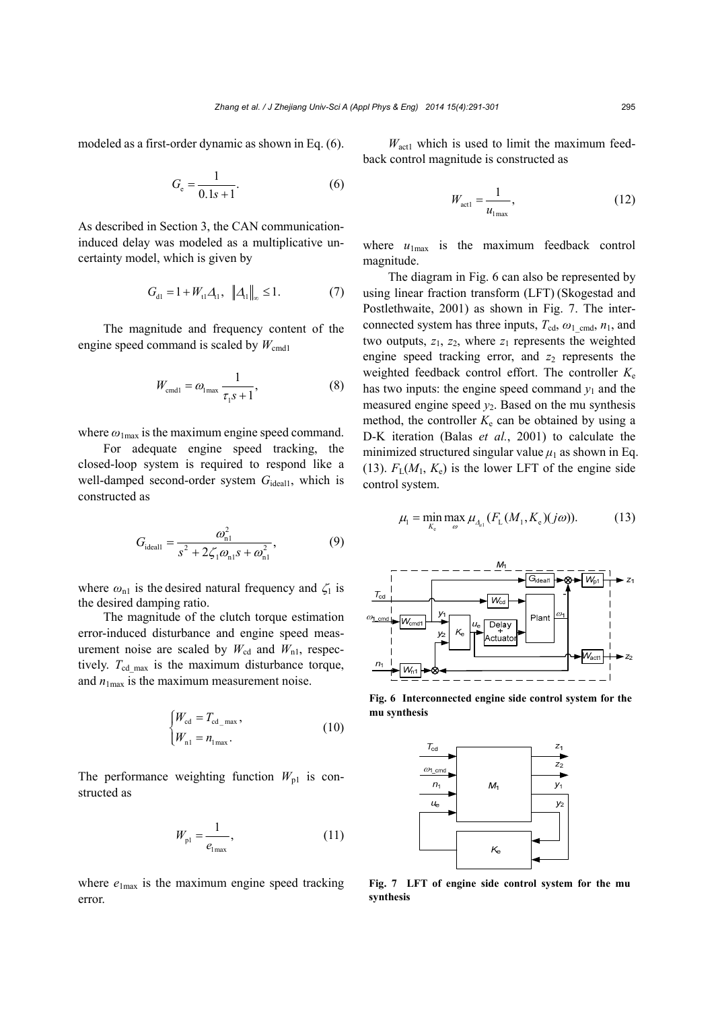modeled as a first-order dynamic as shown in Eq. (6).

$$
G_{\rm e} = \frac{1}{0.1s + 1}.\tag{6}
$$

As described in Section 3, the CAN communicationinduced delay was modeled as a multiplicative uncertainty model, which is given by

$$
G_{\rm dl} = 1 + W_{\rm tl} \Delta_{\rm ll}, \quad \| \Delta_{\rm ll} \|_{\infty} \le 1. \tag{7}
$$

The magnitude and frequency content of the engine speed command is scaled by  $W_{\text{cmd1}}$ 

$$
W_{\text{cmd1}} = \omega_{1\text{max}} \frac{1}{\tau_1 s + 1},\tag{8}
$$

where  $\omega_{1\text{max}}$  is the maximum engine speed command.

For adequate engine speed tracking, the closed-loop system is required to respond like a well-damped second-order system *G*<sub>ideal1</sub>, which is constructed as

$$
G_{\text{ideal1}} = \frac{\omega_{\text{nl}}^2}{s^2 + 2\zeta_1 \omega_{\text{nl}} s + \omega_{\text{nl}}^2},\tag{9}
$$

where  $\omega_{n1}$  is the desired natural frequency and  $\zeta_1$  is the desired damping ratio.

The magnitude of the clutch torque estimation error-induced disturbance and engine speed measurement noise are scaled by  $W_{\text{cd}}$  and  $W_{\text{nl}}$ , respectively.  $T_{\text{cd max}}$  is the maximum disturbance torque, and  $n_{1max}$  is the maximum measurement noise.

$$
\begin{cases} W_{\text{cd}} = T_{\text{cd\_max}}, \\ W_{\text{n1}} = n_{\text{1max}}. \end{cases}
$$
 (10)

The performance weighting function  $W_{p1}$  is constructed as

$$
W_{\rm pl} = \frac{1}{e_{\rm lmax}},\tag{11}
$$

where  $e_{1\text{max}}$  is the maximum engine speed tracking error.

 $W_{\text{act1}}$  which is used to limit the maximum feedback control magnitude is constructed as

$$
W_{\text{act1}} = \frac{1}{u_{1\text{max}}},\tag{12}
$$

where  $u_{1\text{max}}$  is the maximum feedback control magnitude.

The diagram in Fig. 6 can also be represented by using linear fraction transform (LFT) (Skogestad and Postlethwaite, 2001) as shown in Fig. 7. The interconnected system has three inputs,  $T_{\text{cd}}$ ,  $\omega_1$ <sub>cmd</sub>,  $n_1$ , and two outputs,  $z_1$ ,  $z_2$ , where  $z_1$  represents the weighted engine speed tracking error, and  $z_2$  represents the weighted feedback control effort. The controller  $K_e$ has two inputs: the engine speed command  $y_1$  and the measured engine speed *y*2. Based on the mu synthesis method, the controller  $K_e$  can be obtained by using a D-K iteration (Balas *et al.*, 2001) to calculate the minimized structured singular value  $\mu_1$  as shown in Eq. (13).  $F_L(M_1, K_e)$  is the lower LFT of the engine side control system.

$$
\mu_{\rm l} = \min_{K_{\rm e}} \max_{\omega} \mu_{A_{\rm el}}(F_{\rm L}(M_{\rm l}, K_{\rm e})(j\omega)).\tag{13}
$$



**Fig. 6 Interconnected engine side control system for the mu synthesis** 



**Fig. 7 LFT of engine side control system for the mu synthesis**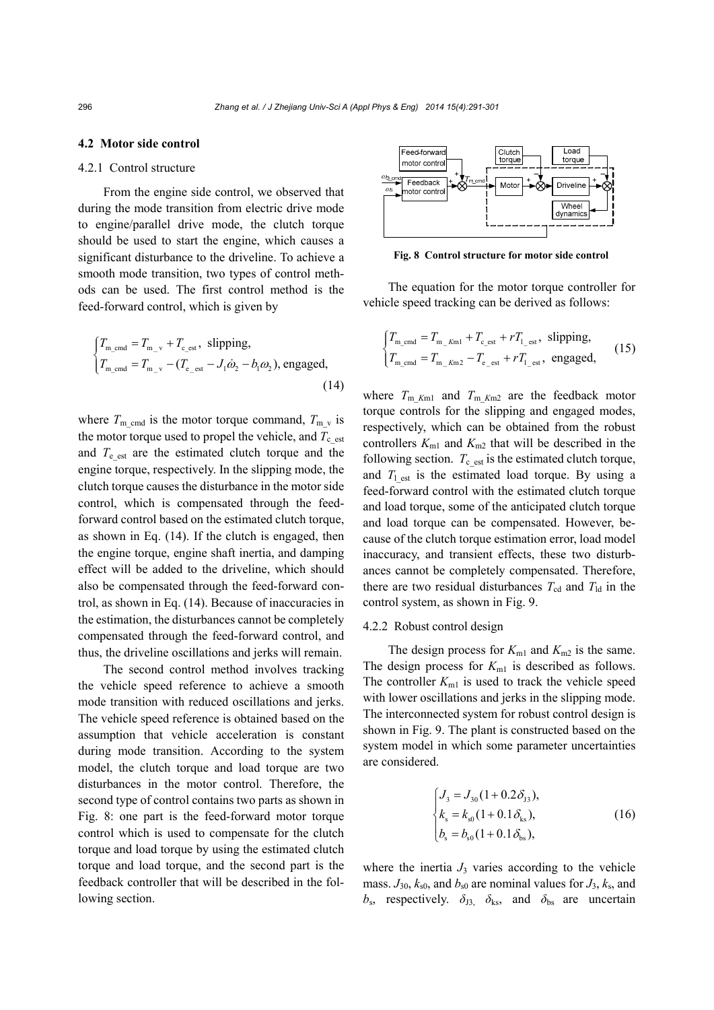#### **4.2 Motor side control**

#### 4.2.1 Control structure

From the engine side control, we observed that during the mode transition from electric drive mode to engine/parallel drive mode, the clutch torque should be used to start the engine, which causes a significant disturbance to the driveline. To achieve a smooth mode transition, two types of control methods can be used. The first control method is the feed-forward control, which is given by

$$
\begin{cases}\nT_{\text{m\_cmd}} = T_{\text{m\_v}} + T_{\text{c\_est}}, \text{ slipping,} \\
T_{\text{m\_cmd}} = T_{\text{m\_v}} - (T_{\text{e\_est}} - J_1 \dot{\omega}_2 - b_1 \omega_2), \text{engaged,} \\
(14)\n\end{cases}
$$

where  $T_{\text{m-cmd}}$  is the motor torque command,  $T_{\text{m-v}}$  is the motor torque used to propel the vehicle, and  $T_{c_{est}}$ and  $T_{e}$ <sub>est</sub> are the estimated clutch torque and the engine torque, respectively. In the slipping mode, the clutch torque causes the disturbance in the motor side control, which is compensated through the feedforward control based on the estimated clutch torque, as shown in Eq. (14). If the clutch is engaged, then the engine torque, engine shaft inertia, and damping effect will be added to the driveline, which should also be compensated through the feed-forward control, as shown in Eq. (14). Because of inaccuracies in the estimation, the disturbances cannot be completely compensated through the feed-forward control, and thus, the driveline oscillations and jerks will remain.

The second control method involves tracking the vehicle speed reference to achieve a smooth mode transition with reduced oscillations and jerks. The vehicle speed reference is obtained based on the assumption that vehicle acceleration is constant during mode transition. According to the system model, the clutch torque and load torque are two disturbances in the motor control. Therefore, the second type of control contains two parts as shown in Fig. 8: one part is the feed-forward motor torque control which is used to compensate for the clutch torque and load torque by using the estimated clutch torque and load torque, and the second part is the feedback controller that will be described in the following section.



**Fig. 8 Control structure for motor side control**

The equation for the motor torque controller for vehicle speed tracking can be derived as follows:

$$
\begin{cases}\nT_{\text{m\_cmd}} = T_{\text{m\_Kml}} + T_{\text{c\_est}} + rT_{\text{1\_est}}, \text{ slipping,} \\
T_{\text{m\_cmd}} = T_{\text{m\_Km2}} - T_{\text{e\_est}} + rT_{\text{1\_est}}, \text{ engaged,}\n\end{cases}
$$
\n(15)

where  $T_{\text{m}}$ <sub>Km1</sub> and  $T_{\text{m}}$ <sub>Km2</sub> are the feedback motor torque controls for the slipping and engaged modes, respectively, which can be obtained from the robust controllers  $K_{m1}$  and  $K_{m2}$  that will be described in the following section.  $T_c$  est is the estimated clutch torque, and  $T_1$ <sub>est</sub> is the estimated load torque. By using a feed-forward control with the estimated clutch torque and load torque, some of the anticipated clutch torque and load torque can be compensated. However, because of the clutch torque estimation error, load model inaccuracy, and transient effects, these two disturbances cannot be completely compensated. Therefore, there are two residual disturbances  $T_{\text{cd}}$  and  $T_{\text{ld}}$  in the control system, as shown in Fig. 9.

#### 4.2.2 Robust control design

The design process for  $K_{m1}$  and  $K_{m2}$  is the same. The design process for  $K_{m1}$  is described as follows. The controller  $K_{m1}$  is used to track the vehicle speed with lower oscillations and jerks in the slipping mode. The interconnected system for robust control design is shown in Fig. 9. The plant is constructed based on the system model in which some parameter uncertainties are considered.

$$
\begin{cases}\nJ_3 = J_{30} (1 + 0.2 \delta_{J3}), \\
k_s = k_{s0} (1 + 0.1 \delta_{ks}), \\
b_s = b_{s0} (1 + 0.1 \delta_{bs}),\n\end{cases}
$$
\n(16)

where the inertia  $J_3$  varies according to the vehicle mass.  $J_{30}$ ,  $k_{s0}$ , and  $b_{s0}$  are nominal values for  $J_3$ ,  $k_s$ , and  $b_s$ , respectively.  $\delta_{13}$ ,  $\delta_{ks}$ , and  $\delta_{bs}$  are uncertain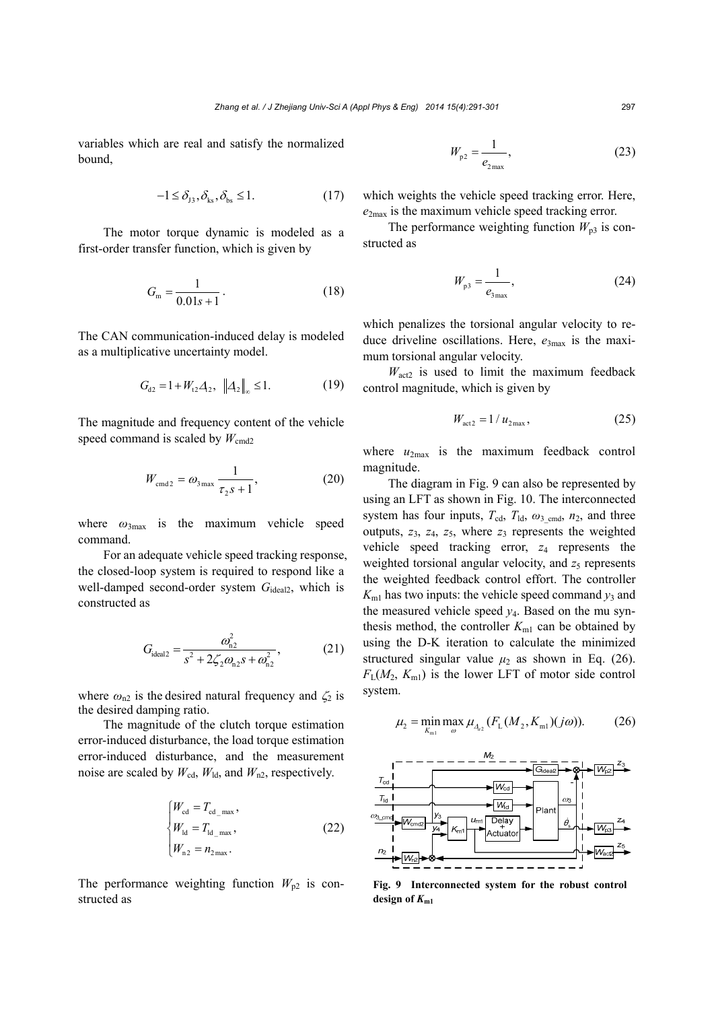variables which are real and satisfy the normalized bound,

$$
-1 \le \delta_{J3}, \delta_{ks}, \delta_{bs} \le 1. \tag{17}
$$

The motor torque dynamic is modeled as a first-order transfer function, which is given by

$$
G_{\rm m} = \frac{1}{0.01s + 1} \,. \tag{18}
$$

The CAN communication-induced delay is modeled as a multiplicative uncertainty model.

$$
G_{d2} = 1 + W_{t2} A_2, \|A_2\|_{\infty} \le 1.
$$
 (19)

The magnitude and frequency content of the vehicle speed command is scaled by  $W_{\text{cmd2}}$ 

$$
W_{\text{cmd2}} = \omega_{3\,\text{max}} \, \frac{1}{\tau_2 s + 1},\tag{20}
$$

where  $\omega_{3max}$  is the maximum vehicle speed command.

For an adequate vehicle speed tracking response, the closed-loop system is required to respond like a well-damped second-order system G<sub>ideal2</sub>, which is constructed as

$$
G_{\text{ideal2}} = \frac{\omega_{\text{n2}}^2}{s^2 + 2\zeta_2 \omega_{\text{n2}} s + \omega_{\text{n2}}^2},\tag{21}
$$

where  $\omega_{n2}$  is the desired natural frequency and  $\zeta_2$  is the desired damping ratio.

The magnitude of the clutch torque estimation error-induced disturbance, the load torque estimation error-induced disturbance, and the measurement noise are scaled by  $W_{\text{cd}}$ ,  $W_{\text{ld}}$ , and  $W_{\text{n2}}$ , respectively.

$$
\begin{cases}\nW_{\text{cd}} = T_{\text{cd\_max}}, \nW_{\text{ld}} = T_{\text{ld\_max}}, \nW_{\text{n2}} = n_{2\text{max}}.\n\end{cases}
$$
\n(22)

The performance weighting function  $W_{p2}$  is constructed as

$$
W_{p2} = \frac{1}{e_{2\max}}\,,\tag{23}
$$

which weights the vehicle speed tracking error. Here,  $e_{2\text{max}}$  is the maximum vehicle speed tracking error.

The performance weighting function  $W_{p3}$  is constructed as

$$
W_{p3} = \frac{1}{e_{3\text{max}}},\tag{24}
$$

which penalizes the torsional angular velocity to reduce driveline oscillations. Here,  $e_{3\text{max}}$  is the maximum torsional angular velocity.

 $W_{\text{act2}}$  is used to limit the maximum feedback control magnitude, which is given by

$$
W_{\text{act2}} = 1 / u_{2\text{max}},\tag{25}
$$

where  $u_{2\text{max}}$  is the maximum feedback control magnitude.

The diagram in Fig. 9 can also be represented by using an LFT as shown in Fig. 10. The interconnected system has four inputs,  $T_{\text{cd}}$ ,  $T_{\text{ld}}$ ,  $\omega_{3\text{cmd}}$ ,  $n_2$ , and three outputs,  $z_3$ ,  $z_4$ ,  $z_5$ , where  $z_3$  represents the weighted vehicle speed tracking error, *z*4 represents the weighted torsional angular velocity, and  $z_5$  represents the weighted feedback control effort. The controller  $K_{\text{ml}}$  has two inputs: the vehicle speed command  $y_3$  and the measured vehicle speed  $y_4$ . Based on the mu synthesis method, the controller  $K_{m1}$  can be obtained by using the D-K iteration to calculate the minimized structured singular value  $\mu_2$  as shown in Eq. (26).  $F<sub>L</sub>(M<sub>2</sub>, K<sub>m1</sub>)$  is the lower LFT of motor side control system.

$$
\mu_2 = \min_{K_{\text{ml}}} \max_{\omega} \mu_{A_{\text{u}_2}} (F_{\text{L}}(M_2, K_{\text{ml}})(j\omega)). \tag{26}
$$



**Fig. 9 Interconnected system for the robust control** design of  $K_{m1}$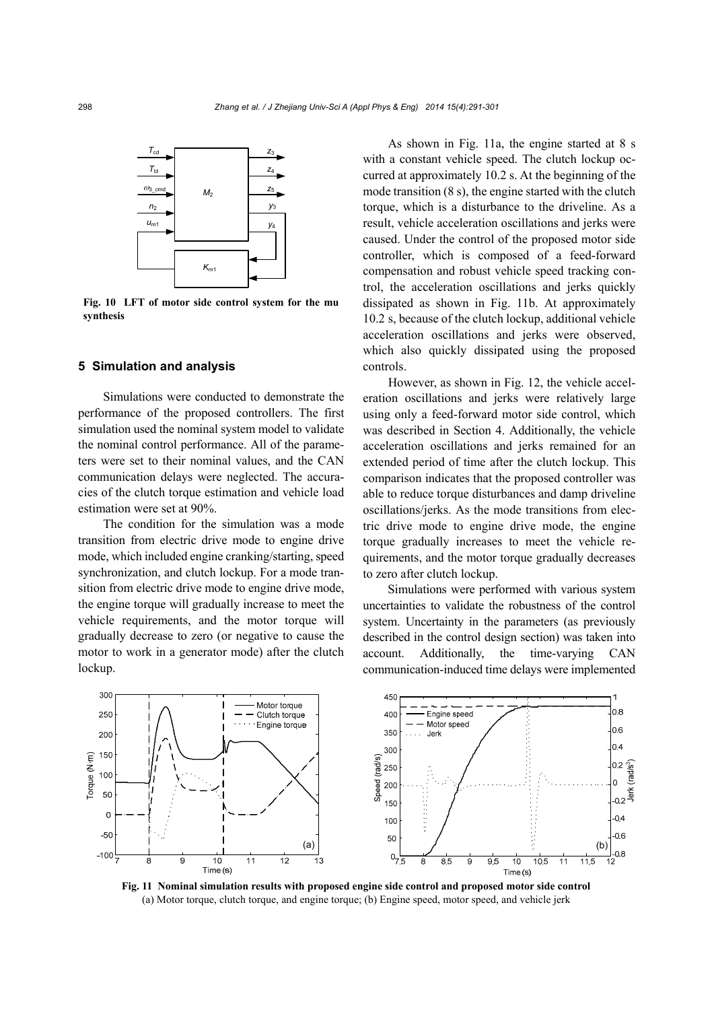

**Fig. 10 LFT of motor side control system for the mu synthesis** 

# **5 Simulation and analysis**

Simulations were conducted to demonstrate the performance of the proposed controllers. The first simulation used the nominal system model to validate the nominal control performance. All of the parameters were set to their nominal values, and the CAN communication delays were neglected. The accuracies of the clutch torque estimation and vehicle load estimation were set at 90%.

The condition for the simulation was a mode transition from electric drive mode to engine drive mode, which included engine cranking/starting, speed synchronization, and clutch lockup. For a mode transition from electric drive mode to engine drive mode, the engine torque will gradually increase to meet the vehicle requirements, and the motor torque will gradually decrease to zero (or negative to cause the motor to work in a generator mode) after the clutch lockup.

As shown in Fig. 11a, the engine started at 8 s with a constant vehicle speed. The clutch lockup occurred at approximately 10.2 s. At the beginning of the mode transition (8 s), the engine started with the clutch torque, which is a disturbance to the driveline. As a result, vehicle acceleration oscillations and jerks were caused. Under the control of the proposed motor side controller, which is composed of a feed-forward compensation and robust vehicle speed tracking control, the acceleration oscillations and jerks quickly dissipated as shown in Fig. 11b. At approximately 10.2 s, because of the clutch lockup, additional vehicle acceleration oscillations and jerks were observed, which also quickly dissipated using the proposed controls.

However, as shown in Fig. 12, the vehicle acceleration oscillations and jerks were relatively large using only a feed-forward motor side control, which was described in Section 4. Additionally, the vehicle acceleration oscillations and jerks remained for an extended period of time after the clutch lockup. This comparison indicates that the proposed controller was able to reduce torque disturbances and damp driveline oscillations/jerks. As the mode transitions from electric drive mode to engine drive mode, the engine torque gradually increases to meet the vehicle requirements, and the motor torque gradually decreases to zero after clutch lockup.

Simulations were performed with various system uncertainties to validate the robustness of the control system. Uncertainty in the parameters (as previously described in the control design section) was taken into account. Additionally, the time-varying CAN communication-induced time delays were implemented



**Fig. 11 Nominal simulation results with proposed engine side control and proposed motor side control**  (a) Motor torque, clutch torque, and engine torque; (b) Engine speed, motor speed, and vehicle jerk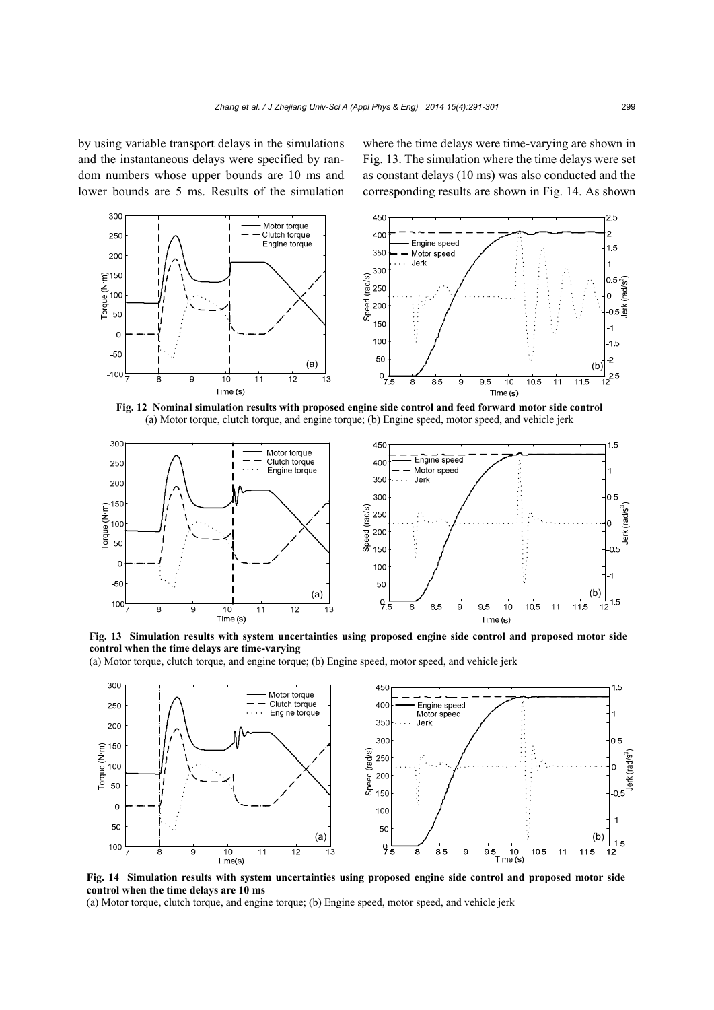by using variable transport delays in the simulations and the instantaneous delays were specified by random numbers whose upper bounds are 10 ms and lower bounds are 5 ms. Results of the simulation where the time delays were time-varying are shown in Fig. 13. The simulation where the time delays were set as constant delays (10 ms) was also conducted and the corresponding results are shown in Fig. 14. As shown



**Fig. 12 Nominal simulation results with proposed engine side control and feed forward motor side control**  (a) Motor torque, clutch torque, and engine torque; (b) Engine speed, motor speed, and vehicle jerk





(a) Motor torque, clutch torque, and engine torque; (b) Engine speed, motor speed, and vehicle jerk



**Fig. 14 Simulation results with system uncertainties using proposed engine side control and proposed motor side control when the time delays are 10 ms** 

(a) Motor torque, clutch torque, and engine torque; (b) Engine speed, motor speed, and vehicle jerk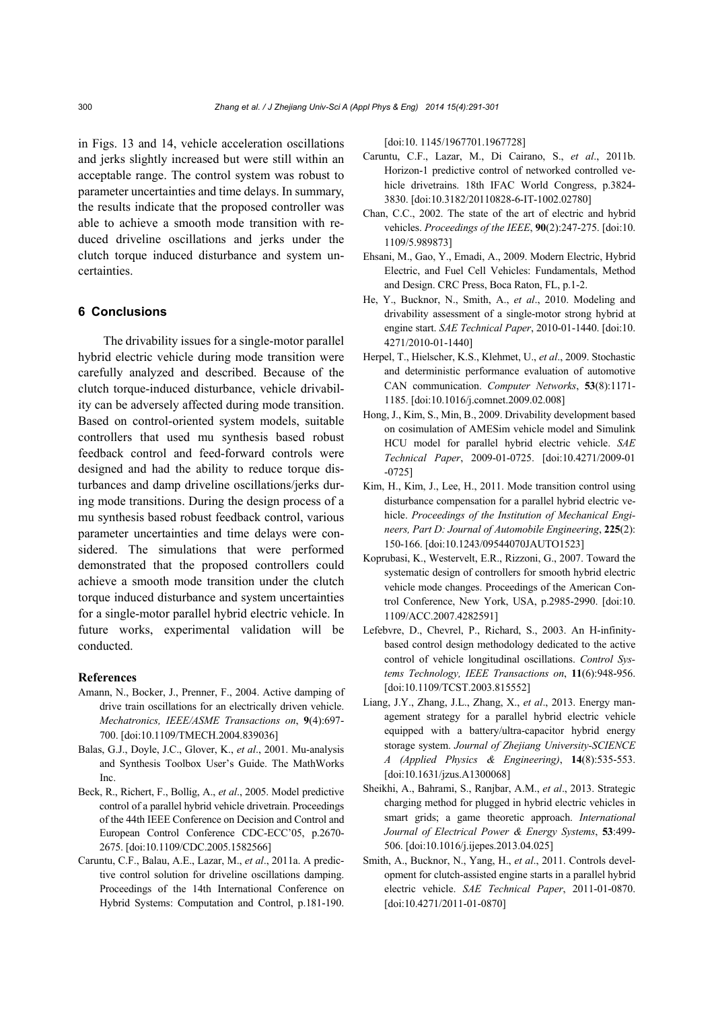in Figs. 13 and 14, vehicle acceleration oscillations and jerks slightly increased but were still within an acceptable range. The control system was robust to parameter uncertainties and time delays. In summary, the results indicate that the proposed controller was able to achieve a smooth mode transition with reduced driveline oscillations and jerks under the clutch torque induced disturbance and system uncertainties.

# **6 Conclusions**

The drivability issues for a single-motor parallel hybrid electric vehicle during mode transition were carefully analyzed and described. Because of the clutch torque-induced disturbance, vehicle drivability can be adversely affected during mode transition. Based on control-oriented system models, suitable controllers that used mu synthesis based robust feedback control and feed-forward controls were designed and had the ability to reduce torque disturbances and damp driveline oscillations/jerks during mode transitions. During the design process of a mu synthesis based robust feedback control, various parameter uncertainties and time delays were considered. The simulations that were performed demonstrated that the proposed controllers could achieve a smooth mode transition under the clutch torque induced disturbance and system uncertainties for a single-motor parallel hybrid electric vehicle. In future works, experimental validation will be conducted.

## **References**

- Amann, N., Bocker, J., Prenner, F., 2004. Active damping of drive train oscillations for an electrically driven vehicle. *Mechatronics, IEEE/ASME Transactions on*, **9**(4):697- 700. [doi:10.1109/TMECH.2004.839036]
- Balas, G.J., Doyle, J.C., Glover, K., *et al*., 2001. Mu-analysis and Synthesis Toolbox User's Guide. The MathWorks Inc.
- Beck, R., Richert, F., Bollig, A., *et al*., 2005. Model predictive control of a parallel hybrid vehicle drivetrain. Proceedings of the 44th IEEE Conference on Decision and Control and European Control Conference CDC-ECC'05, p.2670- 2675. [doi:10.1109/CDC.2005.1582566]
- Caruntu, C.F., Balau, A.E., Lazar, M., *et al*., 2011a. A predictive control solution for driveline oscillations damping. Proceedings of the 14th International Conference on Hybrid Systems: Computation and Control, p.181-190.

[doi:10.1145/1967701.1967728]

- Caruntu, C.F., Lazar, M., Di Cairano, S., *et al*., 2011b. Horizon-1 predictive control of networked controlled vehicle drivetrains. 18th IFAC World Congress, p.3824- 3830. [doi:10.3182/20110828-6-IT-1002.02780]
- Chan, C.C., 2002. The state of the art of electric and hybrid vehicles. *Proceedings of the IEEE*, **90**(2):247-275. [doi:10. 1109/5.989873]
- Ehsani, M., Gao, Y., Emadi, A., 2009. Modern Electric, Hybrid Electric, and Fuel Cell Vehicles: Fundamentals, Method and Design. CRC Press, Boca Raton, FL, p.1-2.
- He, Y., Bucknor, N., Smith, A., *et al*., 2010. Modeling and drivability assessment of a single-motor strong hybrid at engine start. *SAE Technical Paper*, 2010-01-1440. [doi:10. 4271/2010-01-1440]
- Herpel, T., Hielscher, K.S., Klehmet, U., *et al*., 2009. Stochastic and deterministic performance evaluation of automotive CAN communication. *Computer Networks*, **53**(8):1171- 1185. [doi:10.1016/j.comnet.2009.02.008]
- Hong, J., Kim, S., Min, B., 2009. Drivability development based on cosimulation of AMESim vehicle model and Simulink HCU model for parallel hybrid electric vehicle. *SAE Technical Paper*, 2009-01-0725. [doi:10.4271/2009-01 -0725]
- Kim, H., Kim, J., Lee, H., 2011. Mode transition control using disturbance compensation for a parallel hybrid electric vehicle. *Proceedings of the Institution of Mechanical Engineers, Part D: Journal of Automobile Engineering*, **225**(2): 150-166. [doi:10.1243/09544070JAUTO1523]
- Koprubasi, K., Westervelt, E.R., Rizzoni, G., 2007. Toward the systematic design of controllers for smooth hybrid electric vehicle mode changes. Proceedings of the American Control Conference, New York, USA, p.2985-2990. [doi:10. 1109/ACC.2007.4282591]
- Lefebvre, D., Chevrel, P., Richard, S., 2003. An H-infinitybased control design methodology dedicated to the active control of vehicle longitudinal oscillations. *Control Systems Technology, IEEE Transactions on*, **11**(6):948-956. [doi:10.1109/TCST.2003.815552]
- Liang, J.Y., Zhang, J.L., Zhang, X., *et al*., 2013. Energy management strategy for a parallel hybrid electric vehicle equipped with a battery/ultra-capacitor hybrid energy storage system. *Journal of Zhejiang University-SCIENCE A (Applied Physics & Engineering)*, **14**(8):535-553. [doi:10.1631/jzus.A1300068]
- Sheikhi, A., Bahrami, S., Ranjbar, A.M., *et al*., 2013. Strategic charging method for plugged in hybrid electric vehicles in smart grids; a game theoretic approach. *International Journal of Electrical Power & Energy Systems*, **53**:499- 506. [doi:10.1016/j.ijepes.2013.04.025]
- Smith, A., Bucknor, N., Yang, H., *et al*., 2011. Controls development for clutch-assisted engine starts in a parallel hybrid electric vehicle. *SAE Technical Paper*, 2011-01-0870. [doi:10.4271/2011-01-0870]